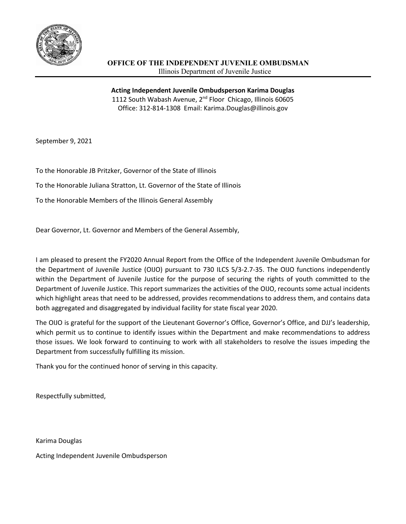

**Acting Independent Juvenile Ombudsperson Karima Douglas** 1112 South Wabash Avenue, 2<sup>nd</sup> Floor Chicago, Illinois 60605 Office: 312-814-1308 Email: Karima.Douglas@illinois.gov

September 9, 2021

To the Honorable JB Pritzker, Governor of the State of Illinois

To the Honorable Juliana Stratton, Lt. Governor of the State of Illinois

To the Honorable Members of the Illinois General Assembly

Dear Governor, Lt. Governor and Members of the General Assembly,

I am pleased to present the FY2020 Annual Report from the Office of the Independent Juvenile Ombudsman for the Department of Juvenile Justice (OIJO) pursuant to 730 ILCS 5/3-2.7-35. The OIJO functions independently within the Department of Juvenile Justice for the purpose of securing the rights of youth committed to the Department of Juvenile Justice. This report summarizes the activities of the OIJO, recounts some actual incidents which highlight areas that need to be addressed, provides recommendations to address them, and contains data both aggregated and disaggregated by individual facility for state fiscal year 2020.

The OIJO is grateful for the support of the Lieutenant Governor's Office, Governor's Office, and DJJ's leadership, which permit us to continue to identify issues within the Department and make recommendations to address those issues. We look forward to continuing to work with all stakeholders to resolve the issues impeding the Department from successfully fulfilling its mission.

Thank you for the continued honor of serving in this capacity.

Respectfully submitted,

Karima Douglas

Acting Independent Juvenile Ombudsperson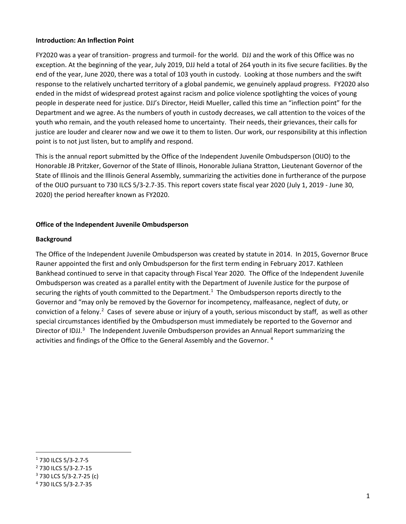#### **Introduction: An Inflection Point**

FY2020 was a year of transition- progress and turmoil- for the world. DJJ and the work of this Office was no exception. At the beginning of the year, July 2019, DJJ held a total of 264 youth in its five secure facilities. By the end of the year, June 2020, there was a total of 103 youth in custody. Looking at those numbers and the swift response to the relatively uncharted territory of a global pandemic, we genuinely applaud progress. FY2020 also ended in the midst of widespread protest against racism and police violence spotlighting the voices of young people in desperate need for justice. DJJ's Director, Heidi Mueller, called this time an "inflection point" for the Department and we agree. As the numbers of youth in custody decreases, we call attention to the voices of the youth who remain, and the youth released home to uncertainty. Their needs, their grievances, their calls for justice are louder and clearer now and we owe it to them to listen. Our work, our responsibility at this inflection point is to not just listen, but to amplify and respond.

This is the annual report submitted by the Office of the Independent Juvenile Ombudsperson (OIJO) to the Honorable JB Pritzker, Governor of the State of Illinois, Honorable Juliana Stratton, Lieutenant Governor of the State of Illinois and the Illinois General Assembly, summarizing the activities done in furtherance of the purpose of the OIJO pursuant to 730 ILCS 5/3-2.7-35. This report covers state fiscal year 2020 (July 1, 2019 - June 30, 2020) the period hereafter known as FY2020.

### **Office of the Independent Juvenile Ombudsperson**

#### **Background**

The Office of the Independent Juvenile Ombudsperson was created by statute in 2014. In 2015, Governor Bruce Rauner appointed the first and only Ombudsperson for the first term ending in February 2017. Kathleen Bankhead continued to serve in that capacity through Fiscal Year 2020. The Office of the Independent Juvenile Ombudsperson was created as a parallel entity with the Department of Juvenile Justice for the purpose of securing the rights of youth committed to the Department.<sup>[1](#page-1-0)</sup> The Ombudsperson reports directly to the Governor and "may only be removed by the Governor for incompetency, malfeasance, neglect of duty, or conviction of a felony.<sup>[2](#page-1-1)</sup> Cases of severe abuse or injury of a youth, serious misconduct by staff, as well as other special circumstances identified by the Ombudsperson must immediately be reported to the Governor and Director of IDJJ.<sup>[3](#page-1-2)</sup> The Independent Juvenile Ombudsperson provides an Annual Report summarizing the activities and findings of the Office to the General Assembly and the Governor. [4](#page-1-3)

<span id="page-1-0"></span><sup>1</sup> 730 ILCS 5/3-2.7-5

<span id="page-1-1"></span><sup>2</sup> 730 ILCS 5/3-2.7-15

<span id="page-1-2"></span><sup>3</sup> 730 LCS 5/3-2.7-25 (c)

<span id="page-1-3"></span><sup>4</sup> 730 ILCS 5/3-2.7-35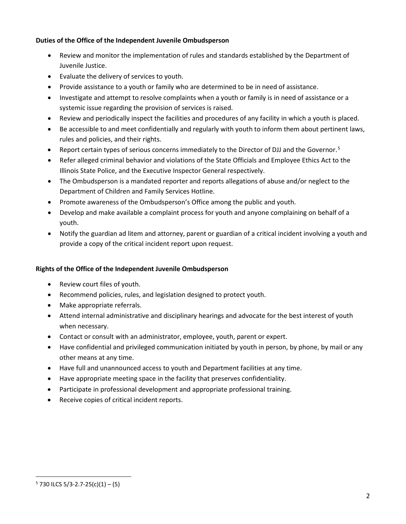## **Duties of the Office of the Independent Juvenile Ombudsperson**

- Review and monitor the implementation of rules and standards established by the Department of Juvenile Justice.
- Evaluate the delivery of services to youth.
- Provide assistance to a youth or family who are determined to be in need of assistance.
- Investigate and attempt to resolve complaints when a youth or family is in need of assistance or a systemic issue regarding the provision of services is raised.
- Review and periodically inspect the facilities and procedures of any facility in which a youth is placed.
- Be accessible to and meet confidentially and regularly with youth to inform them about pertinent laws, rules and policies, and their rights.
- Report certain types of serious concerns immediately to the Director of DJJ and the Governor.<sup>[5](#page-2-0)</sup>
- Refer alleged criminal behavior and violations of the State Officials and Employee Ethics Act to the Illinois State Police, and the Executive Inspector General respectively.
- The Ombudsperson is a mandated reporter and reports allegations of abuse and/or neglect to the Department of Children and Family Services Hotline.
- Promote awareness of the Ombudsperson's Office among the public and youth.
- Develop and make available a complaint process for youth and anyone complaining on behalf of a youth.
- Notify the guardian ad litem and attorney, parent or guardian of a critical incident involving a youth and provide a copy of the critical incident report upon request.

# **Rights of the Office of the Independent Juvenile Ombudsperson**

- Review court files of youth.
- Recommend policies, rules, and legislation designed to protect youth.
- Make appropriate referrals.
- Attend internal administrative and disciplinary hearings and advocate for the best interest of youth when necessary.
- Contact or consult with an administrator, employee, youth, parent or expert.
- Have confidential and privileged communication initiated by youth in person, by phone, by mail or any other means at any time.
- Have full and unannounced access to youth and Department facilities at any time.
- Have appropriate meeting space in the facility that preserves confidentiality.
- Participate in professional development and appropriate professional training.
- Receive copies of critical incident reports.

<span id="page-2-0"></span> $5$  730 ILCS 5/3-2.7-25(c)(1) – (5)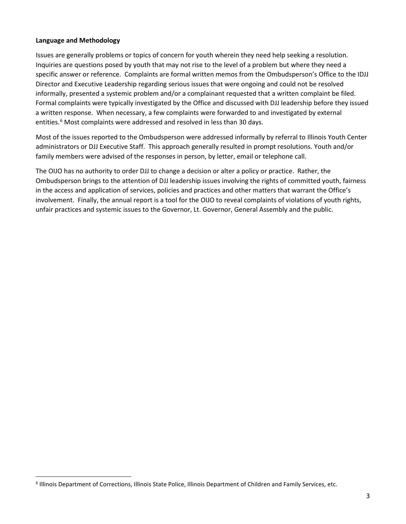## **Language and Methodology**

Issues are generally problems or topics of concern for youth wherein they need help seeking a resolution. Inquiries are questions posed by youth that may not rise to the level of a problem but where they need a specific answer or reference. Complaints are formal written memos from the Ombudsperson's Office to the IDJJ Director and Executive Leadership regarding serious issues that were ongoing and could not be resolved informally, presented a systemic problem and/or a complainant requested that a written complaint be filed. Formal complaints were typically investigated by the Office and discussed with DJJ leadership before they issued a written response. When necessary, a few complaints were forwarded to and investigated by external entities.<sup>[6](#page-3-0)</sup> Most complaints were addressed and resolved in less than 30 days.

Most of the issues reported to the Ombudsperson were addressed informally by referral to Illinois Youth Center administrators or DJJ Executive Staff. This approach generally resulted in prompt resolutions. Youth and/or family members were advised of the responses in person, by letter, email or telephone call.

The OIJO has no authority to order DJJ to change a decision or alter a policy or practice. Rather, the Ombudsperson brings to the attention of DJJ leadership issues involving the rights of committed youth, fairness in the access and application of services, policies and practices and other matters that warrant the Office's involvement. Finally, the annual report is a tool for the OIJO to reveal complaints of violations of youth rights, unfair practices and systemic issues to the Governor, Lt. Governor, General Assembly and the public.

<span id="page-3-0"></span><sup>6</sup> Illinois Department of Corrections, Illinois State Police, Illinois Department of Children and Family Services, etc.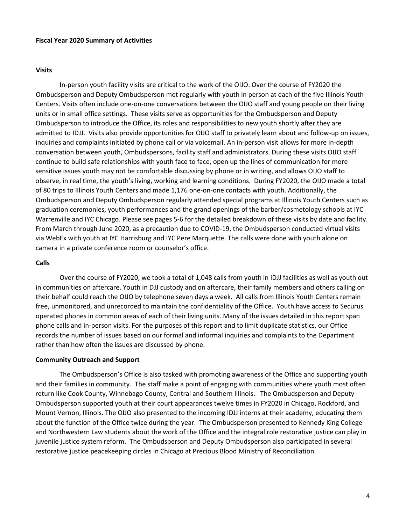#### **Fiscal Year 2020 Summary of Activities**

#### **Visits**

In-person youth facility visits are critical to the work of the OIJO. Over the course of FY2020 the Ombudsperson and Deputy Ombudsperson met regularly with youth in person at each of the five Illinois Youth Centers. Visits often include one-on-one conversations between the OIJO staff and young people on their living units or in small office settings. These visits serve as opportunities for the Ombudsperson and Deputy Ombudsperson to introduce the Office, its roles and responsibilities to new youth shortly after they are admitted to IDJJ. Visits also provide opportunities for OIJO staff to privately learn about and follow-up on issues, inquiries and complaints initiated by phone call or via voicemail. An in-person visit allows for more in-depth conversation between youth, Ombudspersons, facility staff and administrators. During these visits OIJO staff continue to build safe relationships with youth face to face, open up the lines of communication for more sensitive issues youth may not be comfortable discussing by phone or in writing, and allows OIJO staff to observe, in real time, the youth's living, working and learning conditions. During FY2020, the OIJO made a total of 80 trips to Illinois Youth Centers and made 1,176 one-on-one contacts with youth. Additionally, the Ombudsperson and Deputy Ombudsperson regularly attended special programs at Illinois Youth Centers such as graduation ceremonies, youth performances and the grand openings of the barber/cosmetology schools at IYC Warrenville and IYC Chicago. Please see pages 5-6 for the detailed breakdown of these visits by date and facility. From March through June 2020, as a precaution due to COVID-19, the Ombudsperson conducted virtual visits via WebEx with youth at IYC Harrisburg and IYC Pere Marquette. The calls were done with youth alone on camera in a private conference room or counselor's office.

#### **Calls**

Over the course of FY2020, we took a total of 1,048 calls from youth in IDJJ facilities as well as youth out in communities on aftercare. Youth in DJJ custody and on aftercare, their family members and others calling on their behalf could reach the OIJO by telephone seven days a week. All calls from Illinois Youth Centers remain free, unmonitored, and unrecorded to maintain the confidentiality of the Office. Youth have access to Securus operated phones in common areas of each of their living units. Many of the issues detailed in this report span phone calls and in-person visits. For the purposes of this report and to limit duplicate statistics, our Office records the number of issues based on our formal and informal inquiries and complaints to the Department rather than how often the issues are discussed by phone.

#### **Community Outreach and Support**

The Ombudsperson's Office is also tasked with promoting awareness of the Office and supporting youth and their families in community. The staff make a point of engaging with communities where youth most often return like Cook County, Winnebago County, Central and Southern Illinois. The Ombudsperson and Deputy Ombudsperson supported youth at their court appearances twelve times in FY2020 in Chicago, Rockford, and Mount Vernon, Illinois. The OIJO also presented to the incoming IDJJ interns at their academy, educating them about the function of the Office twice during the year. The Ombudsperson presented to Kennedy King College and Northwestern Law students about the work of the Office and the integral role restorative justice can play in juvenile justice system reform. The Ombudsperson and Deputy Ombudsperson also participated in several restorative justice peacekeeping circles in Chicago at Precious Blood Ministry of Reconciliation.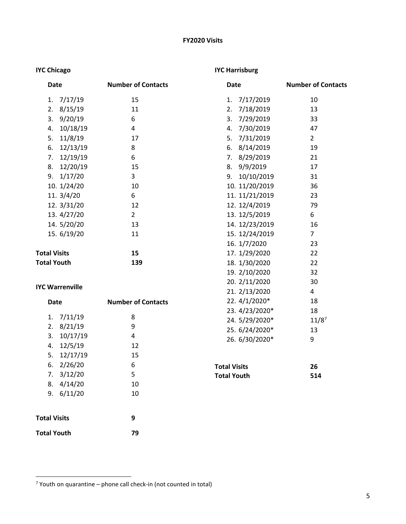# **FY2020 Visits**

# **IYC Chicago**

# **IYC Harrisburg**

| <b>Date</b>               | <b>Number of Contacts</b> | <b>Date</b>         | <b>Number of Contacts</b> |
|---------------------------|---------------------------|---------------------|---------------------------|
| 7/17/19<br>1.             | 15                        | 1.<br>7/17/2019     | 10                        |
| 8/15/19<br>2.             | 11                        | 7/18/2019<br>2.     | 13                        |
| 9/20/19<br>3.             | 6                         | 3.<br>7/29/2019     | 33                        |
| 10/18/19<br>4.            | 4                         | 7/30/2019<br>4.     | 47                        |
| 11/8/19<br>5.             | 17                        | 7/31/2019<br>5.     | $2^{\circ}$               |
| 12/13/19<br>6.            | 8                         | 6. 8/14/2019        | 19                        |
| 12/19/19<br>7.            | 6                         | 7. 8/29/2019        | 21                        |
| 12/20/19<br>8.            | 15                        | 8. 9/9/2019         | 17                        |
| 1/17/20<br>9.             | 3                         | 10/10/2019<br>9.    | 31                        |
| 10. 1/24/20               | 10                        | 10. 11/20/2019      | 36                        |
| 11.3/4/20                 | 6                         | 11. 11/21/2019      | 23                        |
| 12. 3/31/20               | 12                        | 12. 12/4/2019       | 79                        |
| 13. 4/27/20               | $\overline{2}$            | 13. 12/5/2019       | 6                         |
| 14. 5/20/20               | 13                        | 14. 12/23/2019      | 16                        |
| 15. 6/19/20               | 11                        | 15. 12/24/2019      | $\overline{7}$            |
|                           |                           | 16. 1/7/2020        | 23                        |
| <b>Total Visits</b>       | 15                        | 17. 1/29/2020       | 22                        |
| <b>Total Youth</b>        | 139                       | 18. 1/30/2020       | 22                        |
|                           |                           | 19. 2/10/2020       | 32                        |
| <b>IYC Warrenville</b>    |                           | 20. 2/11/2020       | 30                        |
|                           |                           | 21. 2/13/2020       | 4                         |
| <b>Date</b>               | <b>Number of Contacts</b> | 22. 4/1/2020*       | 18                        |
|                           |                           | 23. 4/23/2020*      | 18                        |
| 7/11/19<br>1.             | 8                         | 24. 5/29/2020*      | $11/8^7$                  |
| 8/21/19<br>2.             | 9                         | 25. 6/24/2020*      | 13                        |
| 10/17/19<br>3.            | 4                         | 26. 6/30/2020*      | 9                         |
| 12/5/19<br>4.<br>12/17/19 | 12                        |                     |                           |
| 5.                        | 15<br>6                   |                     |                           |
| 6.<br>2/26/20             | 5                         | <b>Total Visits</b> | 26                        |
| 3/12/20<br>7.             |                           | <b>Total Youth</b>  | 514                       |
| 8.4/14/20<br>9. 6/11/20   | 10                        |                     |                           |
|                           | 10                        |                     |                           |
| <b>Total Visits</b>       | 9                         |                     |                           |
| <b>Total Youth</b>        | 79                        |                     |                           |

<span id="page-5-0"></span> $7$  Youth on quarantine – phone call check-in (not counted in total)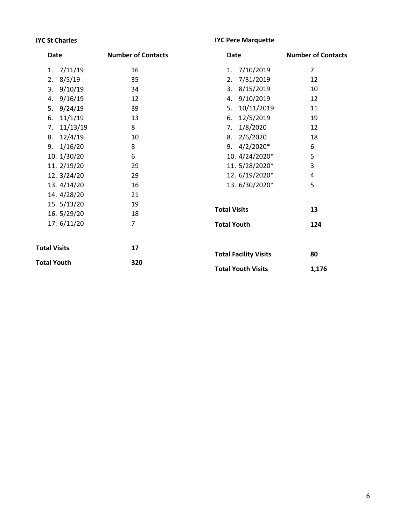# **IYC St Charles**

# **IYC Pere Marquette**

| Date                | <b>Number of Contacts</b> | Date                         | <b>Number of Contacts</b> |
|---------------------|---------------------------|------------------------------|---------------------------|
| 7/11/19<br>1.       | 16                        | 7/10/2019<br>1.              | $\overline{7}$            |
| 2.8/5/19            | 35                        | 7/31/2019<br>2.              | 12                        |
| 3.9/10/19           | 34                        | 3.8/15/2019                  | 10                        |
| 4. 9/16/19          | 12                        | 4. 9/10/2019                 | 12                        |
| 5.9/24/19           | 39                        | 10/11/2019<br>5.             | 11                        |
| 6. 11/1/19          | 13                        | 12/5/2019<br>6.              | 19                        |
| 7. 11/13/19         | 8                         | 1/8/2020<br>7.               | 12                        |
| 8. 12/4/19          | 10                        | 8. 2/6/2020                  | 18                        |
| 9. 1/16/20          | 8                         | 9. $4/2/2020*$               | 6                         |
| 10. 1/30/20         | 6                         | 10. 4/24/2020*               | 5                         |
| 11. 2/19/20         | 29                        | 11. 5/28/2020*               | 3                         |
| 12. 3/24/20         | 29                        | 12. 6/19/2020*               | 4                         |
| 13. $4/14/20$       | 16                        | 13. 6/30/2020*               | 5                         |
| 14. 4/28/20         | 21                        |                              |                           |
| 15.5/13/20          | 19                        |                              |                           |
| 16. 5/29/20         | 18                        | <b>Total Visits</b>          | 13                        |
| 17.6/11/20          | $\overline{7}$            | <b>Total Youth</b>           | 124                       |
| <b>Total Visits</b> | 17                        | <b>Total Facility Visits</b> | 80                        |
| <b>Total Youth</b>  | 320                       |                              |                           |
|                     |                           | <b>Total Youth Visits</b>    | 1,176                     |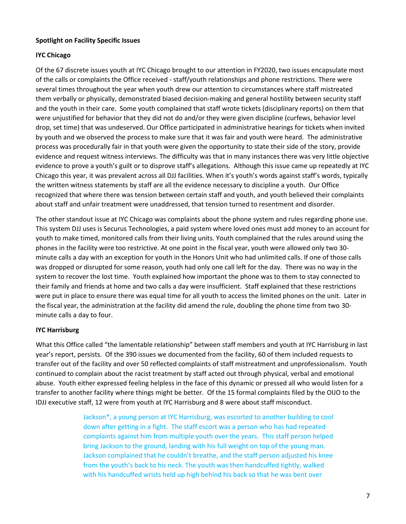### **Spotlight on Facility Specific Issues**

### **IYC Chicago**

Of the 67 discrete issues youth at IYC Chicago brought to our attention in FY2020, two issues encapsulate most of the calls or complaints the Office received - staff/youth relationships and phone restrictions. There were several times throughout the year when youth drew our attention to circumstances where staff mistreated them verbally or physically, demonstrated biased decision-making and general hostility between security staff and the youth in their care. Some youth complained that staff wrote tickets (disciplinary reports) on them that were unjustified for behavior that they did not do and/or they were given discipline (curfews, behavior level drop, set time) that was undeserved. Our Office participated in administrative hearings for tickets when invited by youth and we observed the process to make sure that it was fair and youth were heard. The administrative process was procedurally fair in that youth were given the opportunity to state their side of the story, provide evidence and request witness interviews. The difficulty was that in many instances there was very little objective evidence to prove a youth's guilt or to disprove staff's allegations. Although this issue came up repeatedly at IYC Chicago this year, it was prevalent across all DJJ facilities. When it's youth's words against staff's words, typically the written witness statements by staff are all the evidence necessary to discipline a youth. Our Office recognized that where there was tension between certain staff and youth, and youth believed their complaints about staff and unfair treatment were unaddressed, that tension turned to resentment and disorder.

The other standout issue at IYC Chicago was complaints about the phone system and rules regarding phone use. This system DJJ uses is Securus Technologies, a paid system where loved ones must add money to an account for youth to make timed, monitored calls from their living units. Youth complained that the rules around using the phones in the facility were too restrictive. At one point in the fiscal year, youth were allowed only two 30 minute calls a day with an exception for youth in the Honors Unit who had unlimited calls. If one of those calls was dropped or disrupted for some reason, youth had only one call left for the day. There was no way in the system to recover the lost time. Youth explained how important the phone was to them to stay connected to their family and friends at home and two calls a day were insufficient. Staff explained that these restrictions were put in place to ensure there was equal time for all youth to access the limited phones on the unit. Later in the fiscal year, the administration at the facility did amend the rule, doubling the phone time from two 30 minute calls a day to four.

#### **IYC Harrisburg**

What this Office called "the lamentable relationship" between staff members and youth at IYC Harrisburg in last year's report, persists. Of the 390 issues we documented from the facility, 60 of them included requests to transfer out of the facility and over 50 reflected complaints of staff mistreatment and unprofessionalism. Youth continued to complain about the racist treatment by staff acted out through physical, verbal and emotional abuse. Youth either expressed feeling helpless in the face of this dynamic or pressed all who would listen for a transfer to another facility where things might be better. Of the 15 formal complaints filed by the OIJO to the IDJJ executive staff, 12 were from youth at IYC Harrisburg and 8 were about staff misconduct.

> Jackson\*, a young person at IYC Harrisburg, was escorted to another building to cool down after getting in a fight. The staff escort was a person who has had repeated complaints against him from multiple youth over the years. This staff person helped bring Jackson to the ground, landing with his full weight on top of the young man. Jackson complained that he couldn't breathe, and the staff person adjusted his knee from the youth's back to his neck. The youth was then handcuffed tightly, walked with his handcuffed wrists held up high behind his back so that he was bent over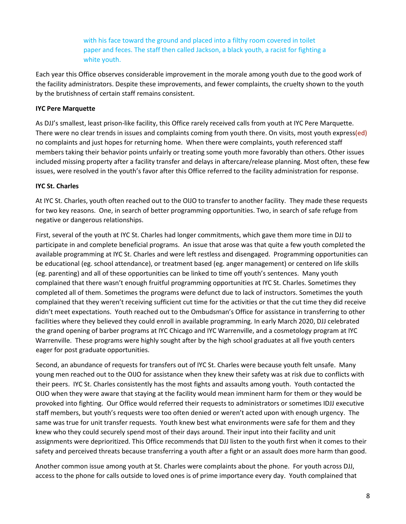with his face toward the ground and placed into a filthy room covered in toilet paper and feces. The staff then called Jackson, a black youth, a racist for fighting a white youth.

Each year this Office observes considerable improvement in the morale among youth due to the good work of the facility administrators. Despite these improvements, and fewer complaints, the cruelty shown to the youth by the brutishness of certain staff remains consistent.

## **IYC Pere Marquette**

As DJJ's smallest, least prison-like facility, this Office rarely received calls from youth at IYC Pere Marquette. There were no clear trends in issues and complaints coming from youth there. On visits, most youth express(ed) no complaints and just hopes for returning home. When there were complaints, youth referenced staff members taking their behavior points unfairly or treating some youth more favorably than others. Other issues included missing property after a facility transfer and delays in aftercare/release planning. Most often, these few issues, were resolved in the youth's favor after this Office referred to the facility administration for response.

### **IYC St. Charles**

At IYC St. Charles, youth often reached out to the OIJO to transfer to another facility. They made these requests for two key reasons. One, in search of better programming opportunities. Two, in search of safe refuge from negative or dangerous relationships.

First, several of the youth at IYC St. Charles had longer commitments, which gave them more time in DJJ to participate in and complete beneficial programs. An issue that arose was that quite a few youth completed the available programming at IYC St. Charles and were left restless and disengaged. Programming opportunities can be educational (eg. school attendance), or treatment based (eg. anger management) or centered on life skills (eg. parenting) and all of these opportunities can be linked to time off youth's sentences. Many youth complained that there wasn't enough fruitful programming opportunities at IYC St. Charles. Sometimes they completed all of them. Sometimes the programs were defunct due to lack of instructors. Sometimes the youth complained that they weren't receiving sufficient cut time for the activities or that the cut time they did receive didn't meet expectations. Youth reached out to the Ombudsman's Office for assistance in transferring to other facilities where they believed they could enroll in available programming. In early March 2020, DJJ celebrated the grand opening of barber programs at IYC Chicago and IYC Warrenville, and a cosmetology program at IYC Warrenville. These programs were highly sought after by the high school graduates at all five youth centers eager for post graduate opportunities.

Second, an abundance of requests for transfers out of IYC St. Charles were because youth felt unsafe. Many young men reached out to the OIJO for assistance when they knew their safety was at risk due to conflicts with their peers. IYC St. Charles consistently has the most fights and assaults among youth. Youth contacted the OIJO when they were aware that staying at the facility would mean imminent harm for them or they would be provoked into fighting. Our Office would referred their requests to administrators or sometimes IDJJ executive staff members, but youth's requests were too often denied or weren't acted upon with enough urgency. The same was true for unit transfer requests. Youth knew best what environments were safe for them and they knew who they could securely spend most of their days around. Their input into their facility and unit assignments were deprioritized. This Office recommends that DJJ listen to the youth first when it comes to their safety and perceived threats because transferring a youth after a fight or an assault does more harm than good.

Another common issue among youth at St. Charles were complaints about the phone. For youth across DJJ, access to the phone for calls outside to loved ones is of prime importance every day. Youth complained that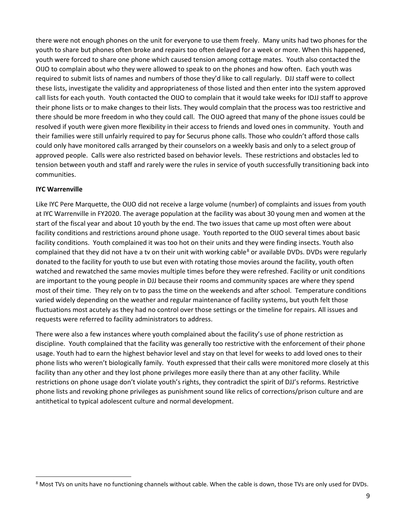there were not enough phones on the unit for everyone to use them freely. Many units had two phones for the youth to share but phones often broke and repairs too often delayed for a week or more. When this happened, youth were forced to share one phone which caused tension among cottage mates. Youth also contacted the OIJO to complain about who they were allowed to speak to on the phones and how often. Each youth was required to submit lists of names and numbers of those they'd like to call regularly. DJJ staff were to collect these lists, investigate the validity and appropriateness of those listed and then enter into the system approved call lists for each youth. Youth contacted the OIJO to complain that it would take weeks for IDJJ staff to approve their phone lists or to make changes to their lists. They would complain that the process was too restrictive and there should be more freedom in who they could call. The OIJO agreed that many of the phone issues could be resolved if youth were given more flexibility in their access to friends and loved ones in community. Youth and their families were still unfairly required to pay for Securus phone calls. Those who couldn't afford those calls could only have monitored calls arranged by their counselors on a weekly basis and only to a select group of approved people. Calls were also restricted based on behavior levels. These restrictions and obstacles led to tension between youth and staff and rarely were the rules in service of youth successfully transitioning back into communities.

# **IYC Warrenville**

Like IYC Pere Marquette, the OIJO did not receive a large volume (number) of complaints and issues from youth at IYC Warrenville in FY2020. The average population at the facility was about 30 young men and women at the start of the fiscal year and about 10 youth by the end. The two issues that came up most often were about facility conditions and restrictions around phone usage. Youth reported to the OIJO several times about basic facility conditions. Youth complained it was too hot on their units and they were finding insects. Youth also complained that they did not have a tv on their unit with working cable<sup>[8](#page-9-0)</sup> or available DVDs. DVDs were regularly donated to the facility for youth to use but even with rotating those movies around the facility, youth often watched and rewatched the same movies multiple times before they were refreshed. Facility or unit conditions are important to the young people in DJJ because their rooms and community spaces are where they spend most of their time. They rely on tv to pass the time on the weekends and after school. Temperature conditions varied widely depending on the weather and regular maintenance of facility systems, but youth felt those fluctuations most acutely as they had no control over those settings or the timeline for repairs. All issues and requests were referred to facility administrators to address.

There were also a few instances where youth complained about the facility's use of phone restriction as discipline. Youth complained that the facility was generally too restrictive with the enforcement of their phone usage. Youth had to earn the highest behavior level and stay on that level for weeks to add loved ones to their phone lists who weren't biologically family. Youth expressed that their calls were monitored more closely at this facility than any other and they lost phone privileges more easily there than at any other facility. While restrictions on phone usage don't violate youth's rights, they contradict the spirit of DJJ's reforms. Restrictive phone lists and revoking phone privileges as punishment sound like relics of corrections/prison culture and are antithetical to typical adolescent culture and normal development.

<span id="page-9-0"></span><sup>&</sup>lt;sup>8</sup> Most TVs on units have no functioning channels without cable. When the cable is down, those TVs are only used for DVDs.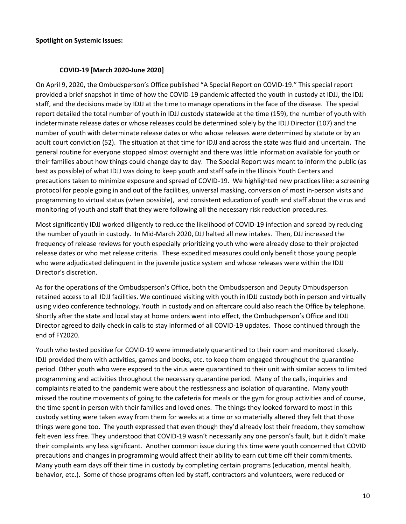#### **Spotlight on Systemic Issues:**

### **COVID-19 [March 2020-June 2020]**

On April 9, 2020, the Ombudsperson's Office published "A Special Report on COVID-19." This special report provided a brief snapshot in time of how the COVID-19 pandemic affected the youth in custody at IDJJ, the IDJJ staff, and the decisions made by IDJJ at the time to manage operations in the face of the disease. The special report detailed the total number of youth in IDJJ custody statewide at the time (159), the number of youth with indeterminate release dates or whose releases could be determined solely by the IDJJ Director (107) and the number of youth with determinate release dates or who whose releases were determined by statute or by an adult court conviction (52). The situation at that time for IDJJ and across the state was fluid and uncertain. The general routine for everyone stopped almost overnight and there was little information available for youth or their families about how things could change day to day. The Special Report was meant to inform the public (as best as possible) of what IDJJ was doing to keep youth and staff safe in the Illinois Youth Centers and precautions taken to minimize exposure and spread of COVID-19. We highlighted new practices like: a screening protocol for people going in and out of the facilities, universal masking, conversion of most in-person visits and programming to virtual status (when possible), and consistent education of youth and staff about the virus and monitoring of youth and staff that they were following all the necessary risk reduction procedures.

Most significantly IDJJ worked diligently to reduce the likelihood of COVID-19 infection and spread by reducing the number of youth in custody. In Mid-March 2020, DJJ halted all new intakes. Then, DJJ increased the frequency of release reviews for youth especially prioritizing youth who were already close to their projected release dates or who met release criteria. These expedited measures could only benefit those young people who were adjudicated delinquent in the juvenile justice system and whose releases were within the IDJJ Director's discretion.

As for the operations of the Ombudsperson's Office, both the Ombudsperson and Deputy Ombudsperson retained access to all IDJJ facilities. We continued visiting with youth in IDJJ custody both in person and virtually using video conference technology. Youth in custody and on aftercare could also reach the Office by telephone. Shortly after the state and local stay at home orders went into effect, the Ombudsperson's Office and IDJJ Director agreed to daily check in calls to stay informed of all COVID-19 updates. Those continued through the end of FY2020.

Youth who tested positive for COVID-19 were immediately quarantined to their room and monitored closely. IDJJ provided them with activities, games and books, etc. to keep them engaged throughout the quarantine period. Other youth who were exposed to the virus were quarantined to their unit with similar access to limited programming and activities throughout the necessary quarantine period. Many of the calls, inquiries and complaints related to the pandemic were about the restlessness and isolation of quarantine. Many youth missed the routine movements of going to the cafeteria for meals or the gym for group activities and of course, the time spent in person with their families and loved ones. The things they looked forward to most in this custody setting were taken away from them for weeks at a time or so materially altered they felt that those things were gone too. The youth expressed that even though they'd already lost their freedom, they somehow felt even less free. They understood that COVID-19 wasn't necessarily any one person's fault, but it didn't make their complaints any less significant. Another common issue during this time were youth concerned that COVID precautions and changes in programming would affect their ability to earn cut time off their commitments. Many youth earn days off their time in custody by completing certain programs (education, mental health, behavior, etc.). Some of those programs often led by staff, contractors and volunteers, were reduced or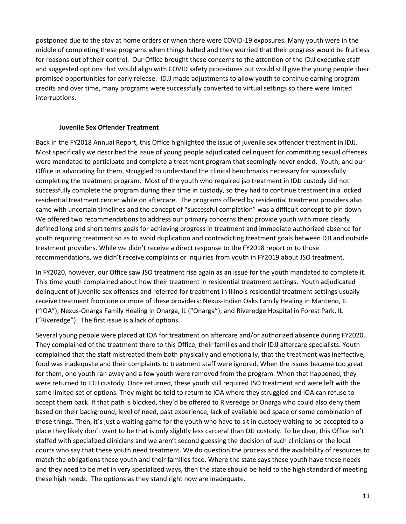postponed due to the stay at home orders or when there were COVID-19 exposures. Many youth were in the middle of completing these programs when things halted and they worried that their progress would be fruitless for reasons out of their control. Our Office brought these concerns to the attention of the IDJJ executive staff and suggested options that would align with COVID safety procedures but would still give the young people their promised opportunities for early release. IDJJ made adjustments to allow youth to continue earning program credits and over time, many programs were successfully converted to virtual settings so there were limited interruptions.

### **Juvenile Sex Offender Treatment**

Back in the FY2018 Annual Report, this Office highlighted the issue of juvenile sex offender treatment in IDJJ. Most specifically we described the issue of young people adjudicated delinquent for committing sexual offenses were mandated to participate and complete a treatment program that seemingly never ended. Youth, and our Office in advocating for them, struggled to understand the clinical benchmarks necessary for successfully completing the treatment program. Most of the youth who required jso treatment in IDJJ custody did not successfully complete the program during their time in custody, so they had to continue treatment in a locked residential treatment center while on aftercare. The programs offered by residential treatment providers also came with uncertain timelines and the concept of "successful completion" was a difficult concept to pin down. We offered two recommendations to address our primary concerns then: provide youth with more clearly defined long and short terms goals for achieving progress in treatment and immediate authorized absence for youth requiring treatment so as to avoid duplication and contradicting treatment goals between DJJ and outside treatment providers. While we didn't receive a direct response to the FY2018 report or to those recommendations, we didn't receive complaints or inquiries from youth in FY2019 about JSO treatment.

In FY2020, however, our Office saw JSO treatment rise again as an issue for the youth mandated to complete it. This time youth complained about how their treatment in residential treatment settings. Youth adjudicated delinquent of juvenile sex offenses and referred for treatment in Illinois residential treatment settings usually receive treatment from one or more of these providers: Nexus-Indian Oaks Family Healing in Manteno, IL ("IOA"), Nexus-Onarga Family Healing in Onarga, IL ("Onarga"); and Riveredge Hospital in Forest Park, IL ("Riveredge"). The first issue is a lack of options.

Several young people were placed at IOA for treatment on aftercare and/or authorized absence during FY2020. They complained of the treatment there to this Office, their families and their IDJJ aftercare specialists. Youth complained that the staff mistreated them both physically and emotionally, that the treatment was ineffective, food was inadequate and their complaints to treatment staff were ignored. When the issues became too great for them, one youth ran away and a few youth were removed from the program. When that happened, they were returned to IDJJ custody. Once returned, these youth still required JSO treatment and were left with the same limited set of options. They might be told to return to IOA where they struggled and IOA can refuse to accept them back. If that path is blocked, they'd be offered to Riveredge or Onarga who could also deny them based on their background, level of need, past experience, lack of available bed space or some combination of those things. Then, it's just a waiting game for the youth who have to sit in custody waiting to be accepted to a place they likely don't want to be that is only slightly less carceral than DJJ custody. To be clear, this Office isn't staffed with specialized clinicians and we aren't second guessing the decision of such clinicians or the local courts who say that these youth need treatment. We do question the process and the availability of resources to match the obligations these youth and their families face. Where the state says these youth have these needs and they need to be met in very specialized ways, then the state should be held to the high standard of meeting these high needs. The options as they stand right now are inadequate.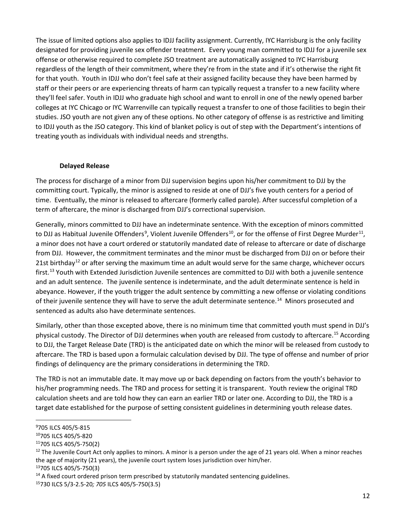The issue of limited options also applies to IDJJ facility assignment. Currently, IYC Harrisburg is the only facility designated for providing juvenile sex offender treatment. Every young man committed to IDJJ for a juvenile sex offense or otherwise required to complete JSO treatment are automatically assigned to IYC Harrisburg regardless of the length of their commitment, where they're from in the state and if it's otherwise the right fit for that youth. Youth in IDJJ who don't feel safe at their assigned facility because they have been harmed by staff or their peers or are experiencing threats of harm can typically request a transfer to a new facility where they'll feel safer. Youth in IDJJ who graduate high school and want to enroll in one of the newly opened barber colleges at IYC Chicago or IYC Warrenville can typically request a transfer to one of those facilities to begin their studies. JSO youth are not given any of these options. No other category of offense is as restrictive and limiting to IDJJ youth as the JSO category. This kind of blanket policy is out of step with the Department's intentions of treating youth as individuals with individual needs and strengths.

### **Delayed Release**

The process for discharge of a minor from DJJ supervision begins upon his/her commitment to DJJ by the committing court. Typically, the minor is assigned to reside at one of DJJ's five youth centers for a period of time. Eventually, the minor is released to aftercare (formerly called parole). After successful completion of a term of aftercare, the minor is discharged from DJJ's correctional supervision.

Generally, minors committed to DJJ have an indeterminate sentence. With the exception of minors committed to DJJ as Habitual Juvenile Offenders<sup>[9](#page-12-0)</sup>, Violent Juvenile Offenders<sup>[10](#page-12-1)</sup>, or for the offense of First Degree Murder<sup>[11](#page-12-2)</sup>, a minor does not have a court ordered or statutorily mandated date of release to aftercare or date of discharge from DJJ. However, the commitment terminates and the minor must be discharged from DJJ on or before their 21st birthday<sup>[12](#page-12-3)</sup> or after serving the maximum time an adult would serve for the same charge, whichever occurs first.<sup>[13](#page-12-4)</sup> Youth with Extended Jurisdiction Juvenile sentences are committed to DJJ with both a juvenile sentence and an adult sentence. The juvenile sentence is indeterminate, and the adult determinate sentence is held in abeyance. However, if the youth trigger the adult sentence by committing a new offense or violating conditions of their juvenile sentence they will have to serve the adult determinate sentence.<sup>[14](#page-12-5)</sup> Minors prosecuted and sentenced as adults also have determinate sentences.

Similarly, other than those excepted above, there is no minimum time that committed youth must spend in DJJ's physical custody. The Director of DJJ determines when youth are released from custody to aftercare.[15](#page-12-6) According to DJJ, the Target Release Date (TRD) is the anticipated date on which the minor will be released from custody to aftercare. The TRD is based upon a formulaic calculation devised by DJJ. The type of offense and number of prior findings of delinquency are the primary considerations in determining the TRD.

The TRD is not an immutable date. It may move up or back depending on factors from the youth's behavior to his/her programming needs. The TRD and process for setting it is transparent. Youth review the original TRD calculation sheets and are told how they can earn an earlier TRD or later one. According to DJJ, the TRD is a target date established for the purpose of setting consistent guidelines in determining youth release dates.

<span id="page-12-4"></span>

<span id="page-12-0"></span><sup>9</sup> 705 ILCS 405/5-815

<span id="page-12-1"></span><sup>10705</sup> ILCS 405/5-820

<span id="page-12-2"></span><sup>11705</sup> ILCS 405/5-750(2)

<span id="page-12-3"></span> $12$  The Juvenile Court Act only applies to minors. A minor is a person under the age of 21 years old. When a minor reaches the age of majority (21 years), the juvenile court system loses jurisdiction over him/her.<br><sup>13</sup>705 ILCS 405/5-750(3)

<span id="page-12-5"></span><sup>&</sup>lt;sup>14</sup> A fixed court ordered prison term prescribed by statutorily mandated sentencing guidelines.

<span id="page-12-6"></span><sup>15730</sup> ILCS 5/3-2.5-20*; 705* ILCS 405/5-750(3.5)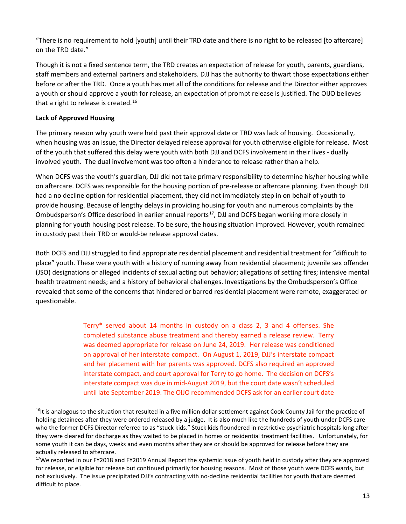"There is no requirement to hold [youth] until their TRD date and there is no right to be released [to aftercare] on the TRD date."

Though it is not a fixed sentence term, the TRD creates an expectation of release for youth, parents, guardians, staff members and external partners and stakeholders. DJJ has the authority to thwart those expectations either before or after the TRD. Once a youth has met all of the conditions for release and the Director either approves a youth or should approve a youth for release, an expectation of prompt release is justified. The OIJO believes that a right to release is created.<sup>[16](#page-13-0)</sup>

# **Lack of Approved Housing**

The primary reason why youth were held past their approval date or TRD was lack of housing. Occasionally, when housing was an issue, the Director delayed release approval for youth otherwise eligible for release. Most of the youth that suffered this delay were youth with both DJJ and DCFS involvement in their lives - dually involved youth. The dual involvement was too often a hinderance to release rather than a help.

When DCFS was the youth's guardian, DJJ did not take primary responsibility to determine his/her housing while on aftercare. DCFS was responsible for the housing portion of pre-release or aftercare planning. Even though DJJ had a no decline option for residential placement, they did not immediately step in on behalf of youth to provide housing. Because of lengthy delays in providing housing for youth and numerous complaints by the Ombudsperson's Office described in earlier annual reports<sup>17</sup>, DJJ and DCFS began working more closely in planning for youth housing post release. To be sure, the housing situation improved. However, youth remained in custody past their TRD or would-be release approval dates.

Both DCFS and DJJ struggled to find appropriate residential placement and residential treatment for "difficult to place" youth. These were youth with a history of running away from residential placement; juvenile sex offender (JSO) designations or alleged incidents of sexual acting out behavior; allegations of setting fires; intensive mental health treatment needs; and a history of behavioral challenges. Investigations by the Ombudsperson's Office revealed that some of the concerns that hindered or barred residential placement were remote, exaggerated or questionable.

> Terry\* served about 14 months in custody on a class 2, 3 and 4 offenses. She completed substance abuse treatment and thereby earned a release review. Terry was deemed appropriate for release on June 24, 2019. Her release was conditioned on approval of her interstate compact. On August 1, 2019, DJJ's interstate compact and her placement with her parents was approved. DCFS also required an approved interstate compact, and court approval for Terry to go home. The decision on DCFS's interstate compact was due in mid-August 2019, but the court date wasn't scheduled until late September 2019. The OIJO recommended DCFS ask for an earlier court date

<span id="page-13-0"></span><sup>&</sup>lt;sup>16</sup>It is analogous to the situation that resulted in a five million dollar settlement against Cook County Jail for the practice of holding detainees after they were ordered released by a judge. It is also much like the hundreds of youth under DCFS care who the former DCFS Director referred to as "stuck kids." Stuck kids floundered in restrictive psychiatric hospitals long after they were cleared for discharge as they waited to be placed in homes or residential treatment facilities. Unfortunately, for some youth it can be days, weeks and even months after they are or should be approved for release before they are actually released to aftercare.

<span id="page-13-1"></span> $17$ We reported in our FY2018 and FY2019 Annual Report the systemic issue of youth held in custody after they are approved for release, or eligible for release but continued primarily for housing reasons. Most of those youth were DCFS wards, but not exclusively. The issue precipitated DJJ's contracting with no-decline residential facilities for youth that are deemed difficult to place.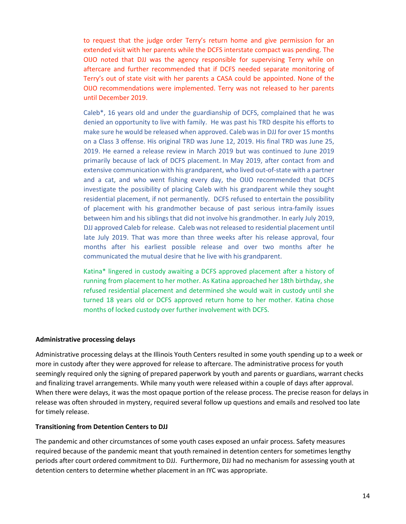to request that the judge order Terry's return home and give permission for an extended visit with her parents while the DCFS interstate compact was pending. The OIJO noted that DJJ was the agency responsible for supervising Terry while on aftercare and further recommended that if DCFS needed separate monitoring of Terry's out of state visit with her parents a CASA could be appointed. None of the OIJO recommendations were implemented. Terry was not released to her parents until December 2019.

Caleb\*, 16 years old and under the guardianship of DCFS, complained that he was denied an opportunity to live with family. He was past his TRD despite his efforts to make sure he would be released when approved. Caleb was in DJJ for over 15 months on a Class 3 offense. His original TRD was June 12, 2019. His final TRD was June 25, 2019. He earned a release review in March 2019 but was continued to June 2019 primarily because of lack of DCFS placement. In May 2019, after contact from and extensive communication with his grandparent, who lived out-of-state with a partner and a cat, and who went fishing every day, the OIJO recommended that DCFS investigate the possibility of placing Caleb with his grandparent while they sought residential placement, if not permanently. DCFS refused to entertain the possibility of placement with his grandmother because of past serious intra-family issues between him and his siblings that did not involve his grandmother. In early July 2019, DJJ approved Caleb for release. Caleb was not released to residential placement until late July 2019. That was more than three weeks after his release approval, four months after his earliest possible release and over two months after he communicated the mutual desire that he live with his grandparent.

Katina\* lingered in custody awaiting a DCFS approved placement after a history of running from placement to her mother. As Katina approached her 18th birthday, she refused residential placement and determined she would wait in custody until she turned 18 years old or DCFS approved return home to her mother. Katina chose months of locked custody over further involvement with DCFS.

#### **Administrative processing delays**

Administrative processing delays at the Illinois Youth Centers resulted in some youth spending up to a week or more in custody after they were approved for release to aftercare. The administrative process for youth seemingly required only the signing of prepared paperwork by youth and parents or guardians, warrant checks and finalizing travel arrangements. While many youth were released within a couple of days after approval. When there were delays, it was the most opaque portion of the release process. The precise reason for delays in release was often shrouded in mystery, required several follow up questions and emails and resolved too late for timely release.

#### **Transitioning from Detention Centers to DJJ**

The pandemic and other circumstances of some youth cases exposed an unfair process. Safety measures required because of the pandemic meant that youth remained in detention centers for sometimes lengthy periods after court ordered commitment to DJJ. Furthermore, DJJ had no mechanism for assessing youth at detention centers to determine whether placement in an IYC was appropriate.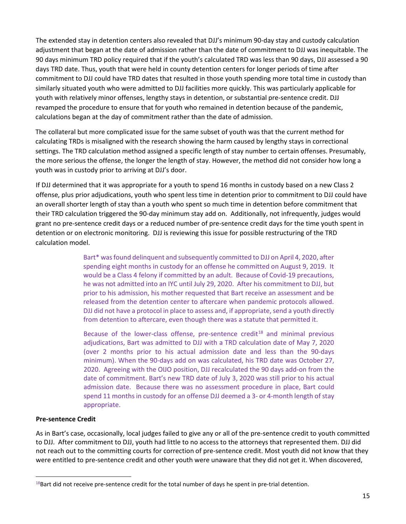The extended stay in detention centers also revealed that DJJ's minimum 90-day stay and custody calculation adjustment that began at the date of admission rather than the date of commitment to DJJ was inequitable. The 90 days minimum TRD policy required that if the youth's calculated TRD was less than 90 days, DJJ assessed a 90 days TRD date. Thus, youth that were held in county detention centers for longer periods of time after commitment to DJJ could have TRD dates that resulted in those youth spending more total time in custody than similarly situated youth who were admitted to DJJ facilities more quickly. This was particularly applicable for youth with relatively minor offenses, lengthy stays in detention, or substantial pre-sentence credit. DJJ revamped the procedure to ensure that for youth who remained in detention because of the pandemic, calculations began at the day of commitment rather than the date of admission.

The collateral but more complicated issue for the same subset of youth was that the current method for calculating TRDs is misaligned with the research showing the harm caused by lengthy stays in correctional settings. The TRD calculation method assigned a specific length of stay number to certain offenses. Presumably, the more serious the offense, the longer the length of stay. However, the method did not consider how long a youth was in custody prior to arriving at DJJ's door.

If DJJ determined that it was appropriate for a youth to spend 16 months in custody based on a new Class 2 offense, plus prior adjudications, youth who spent less time in detention prior to commitment to DJJ could have an overall shorter length of stay than a youth who spent so much time in detention before commitment that their TRD calculation triggered the 90-day minimum stay add on. Additionally, not infrequently, judges would grant no pre-sentence credit days or a reduced number of pre-sentence credit days for the time youth spent in detention or on electronic monitoring. DJJ is reviewing this issue for possible restructuring of the TRD calculation model.

> Bart\* wasfound delinquent and subsequently committed to DJJ on April 4, 2020, after spending eight months in custody for an offense he committed on August 9, 2019. It would be a Class 4 felony if committed by an adult. Because of Covid-19 precautions, he was not admitted into an IYC until July 29, 2020. After his commitment to DJJ, but prior to his admission, his mother requested that Bart receive an assessment and be released from the detention center to aftercare when pandemic protocols allowed. DJJ did not have a protocol in place to assess and, if appropriate, send a youth directly from detention to aftercare, even though there was a statute that permitted it.

> Because of the lower-class offense, pre-sentence credit $18$  and minimal previous adjudications, Bart was admitted to DJJ with a TRD calculation date of May 7, 2020 (over 2 months prior to his actual admission date and less than the 90-days minimum). When the 90-days add on was calculated, his TRD date was October 27, 2020. Agreeing with the OIJO position, DJJ recalculated the 90 days add-on from the date of commitment. Bart's new TRD date of July 3, 2020 was still prior to his actual admission date. Because there was no assessment procedure in place, Bart could spend 11 months in custody for an offense DJJ deemed a 3- or 4-month length of stay appropriate.

#### **Pre-sentence Credit**

As in Bart's case, occasionally, local judges failed to give any or all of the pre-sentence credit to youth committed to DJJ. After commitment to DJJ, youth had little to no access to the attorneys that represented them. DJJ did not reach out to the committing courts for correction of pre-sentence credit. Most youth did not know that they were entitled to pre-sentence credit and other youth were unaware that they did not get it. When discovered,

<span id="page-15-0"></span> $18$ Bart did not receive pre-sentence credit for the total number of days he spent in pre-trial detention.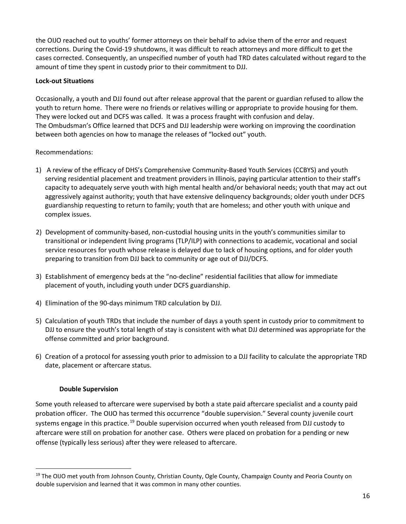the OIJO reached out to youths' former attorneys on their behalf to advise them of the error and request corrections. During the Covid-19 shutdowns, it was difficult to reach attorneys and more difficult to get the cases corrected. Consequently, an unspecified number of youth had TRD dates calculated without regard to the amount of time they spent in custody prior to their commitment to DJJ.

## **Lock-out Situations**

Occasionally, a youth and DJJ found out after release approval that the parent or guardian refused to allow the youth to return home. There were no friends or relatives willing or appropriate to provide housing for them. They were locked out and DCFS was called. It was a process fraught with confusion and delay. The Ombudsman's Office learned that DCFS and DJJ leadership were working on improving the coordination between both agencies on how to manage the releases of "locked out" youth.

### Recommendations:

- 1) A review of the efficacy of DHS's Comprehensive Community-Based Youth Services (CCBYS) and youth serving residential placement and treatment providers in Illinois, paying particular attention to their staff's capacity to adequately serve youth with high mental health and/or behavioral needs; youth that may act out aggressively against authority; youth that have extensive delinquency backgrounds; older youth under DCFS guardianship requesting to return to family; youth that are homeless; and other youth with unique and complex issues.
- 2) Development of community-based, non-custodial housing units in the youth's communities similar to transitional or independent living programs (TLP/ILP) with connections to academic, vocational and social service resources for youth whose release is delayed due to lack of housing options, and for older youth preparing to transition from DJJ back to community or age out of DJJ/DCFS.
- 3) Establishment of emergency beds at the "no-decline" residential facilities that allow for immediate placement of youth, including youth under DCFS guardianship.
- 4) Elimination of the 90-days minimum TRD calculation by DJJ.
- 5) Calculation of youth TRDs that include the number of days a youth spent in custody prior to commitment to DJJ to ensure the youth's total length of stay is consistent with what DJJ determined was appropriate for the offense committed and prior background.
- 6) Creation of a protocol for assessing youth prior to admission to a DJJ facility to calculate the appropriate TRD date, placement or aftercare status.

#### **Double Supervision**

Some youth released to aftercare were supervised by both a state paid aftercare specialist and a county paid probation officer. The OIJO has termed this occurrence "double supervision." Several county juvenile court systems engage in this practice.<sup>[19](#page-16-0)</sup> Double supervision occurred when youth released from DJJ custody to aftercare were still on probation for another case. Others were placed on probation for a pending or new offense (typically less serious) after they were released to aftercare.

<span id="page-16-0"></span><sup>&</sup>lt;sup>19</sup> The OIJO met youth from Johnson County, Christian County, Ogle County, Champaign County and Peoria County on double supervision and learned that it was common in many other counties.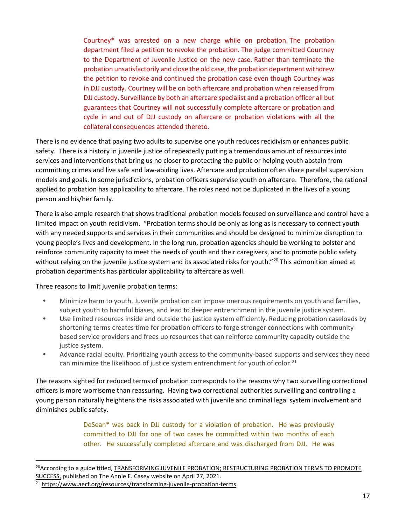Courtney\* was arrested on a new charge while on probation. The probation department filed a petition to revoke the probation. The judge committed Courtney to the Department of Juvenile Justice on the new case. Rather than terminate the probation unsatisfactorily and close the old case, the probation department withdrew the petition to revoke and continued the probation case even though Courtney was in DJJ custody. Courtney will be on both aftercare and probation when released from DJJ custody. Surveillance by both an aftercare specialist and a probation officer all but guarantees that Courtney will not successfully complete aftercare or probation and cycle in and out of DJJ custody on aftercare or probation violations with all the collateral consequences attended thereto.

There is no evidence that paying two adults to supervise one youth reduces recidivism or enhances public safety. There is a history in juvenile justice of repeatedly putting a tremendous amount of resources into services and interventions that bring us no closer to protecting the public or helping youth abstain from committing crimes and live safe and law-abiding lives. Aftercare and probation often share parallel supervision models and goals. In some jurisdictions, probation officers supervise youth on aftercare. Therefore, the rational applied to probation has applicability to aftercare. The roles need not be duplicated in the lives of a young person and his/her family.

There is also ample research that shows traditional probation models focused on surveillance and control have a limited impact on youth recidivism. "Probation terms should be only as long as is necessary to connect youth with any needed supports and services in their communities and should be designed to minimize disruption to young people's lives and development. In the long run, probation agencies should be working to bolster and reinforce community capacity to meet the needs of youth and their caregivers, and to promote public safety without relying on the juvenile justice system and its associated risks for youth."<sup>[20](#page-17-0)</sup> This admonition aimed at probation departments has particular applicability to aftercare as well.

Three reasons to limit juvenile probation terms:

- **•** Minimize harm to youth. Juvenile probation can impose onerous requirements on youth and families, subject youth to harmful biases, and lead to deeper entrenchment in the juvenile justice system.
- **•** Use limited resources inside and outside the justice system efficiently. Reducing probation caseloads by shortening terms creates time for probation officers to forge stronger connections with communitybased service providers and frees up resources that can reinforce community capacity outside the justice system.
- **•** Advance racial equity. Prioritizing youth access to the community-based supports and services they need can minimize the likelihood of justice system entrenchment for youth of color.<sup>[21](#page-17-1)</sup>

The reasons sighted for reduced terms of probation corresponds to the reasons why two surveilling correctional officers is more worrisome than reassuring. Having two correctional authorities surveilling and controlling a young person naturally heightens the risks associated with juvenile and criminal legal system involvement and diminishes public safety.

> DeSean\* was back in DJJ custody for a violation of probation. He was previously committed to DJJ for one of two cases he committed within two months of each other. He successfully completed aftercare and was discharged from DJJ. He was

<span id="page-17-0"></span><sup>&</sup>lt;sup>20</sup>According to a guide titled, TRANSFORMING JUVENILE PROBATION; RESTRUCTURING PROBATION TERMS TO PROMOTE SUCCESS, published on The Annie E. Casey website on April 27, 2021.

<span id="page-17-1"></span><sup>&</sup>lt;sup>21</sup> https://www.aecf.org/resources/transforming-juvenile-probation-terms.